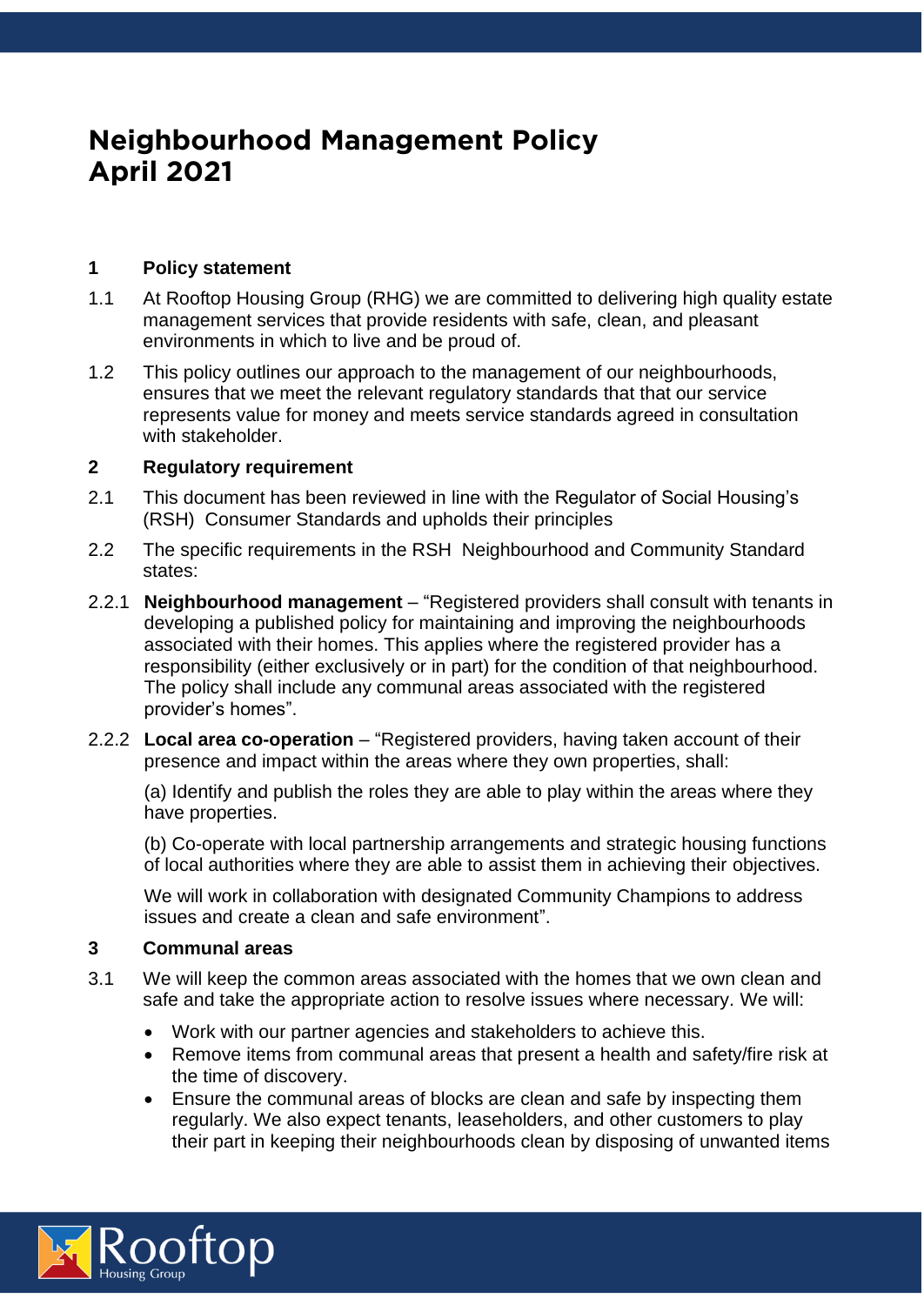# **Neighbourhood Management Policy April 2021**

## **1 Policy statement**

- 1.1 At Rooftop Housing Group (RHG) we are committed to delivering high quality estate management services that provide residents with safe, clean, and pleasant environments in which to live and be proud of.
- 1.2 This policy outlines our approach to the management of our neighbourhoods, ensures that we meet the relevant regulatory standards that that our service represents value for money and meets service standards agreed in consultation with stakeholder.

## **2 Regulatory requirement**

- 2.1 This document has been reviewed in line with the Regulator of Social Housing's (RSH) Consumer Standards and upholds their principles
- 2.2 The specific requirements in the RSH Neighbourhood and Community Standard states:
- 2.2.1 **Neighbourhood management**  "Registered providers shall consult with tenants in developing a published policy for maintaining and improving the neighbourhoods associated with their homes. This applies where the registered provider has a responsibility (either exclusively or in part) for the condition of that neighbourhood. The policy shall include any communal areas associated with the registered provider's homes".
- 2.2.2 **Local area co-operation** "Registered providers, having taken account of their presence and impact within the areas where they own properties, shall:

(a) Identify and publish the roles they are able to play within the areas where they have properties.

(b) Co-operate with local partnership arrangements and strategic housing functions of local authorities where they are able to assist them in achieving their objectives.

We will work in collaboration with designated Community Champions to address issues and create a clean and safe environment".

## **3 Communal areas**

- 3.1 We will keep the common areas associated with the homes that we own clean and safe and take the appropriate action to resolve issues where necessary. We will:
	- Work with our partner agencies and stakeholders to achieve this.
	- Remove items from communal areas that present a health and safety/fire risk at the time of discovery.
	- Ensure the communal areas of blocks are clean and safe by inspecting them regularly. We also expect tenants, leaseholders, and other customers to play their part in keeping their neighbourhoods clean by disposing of unwanted items

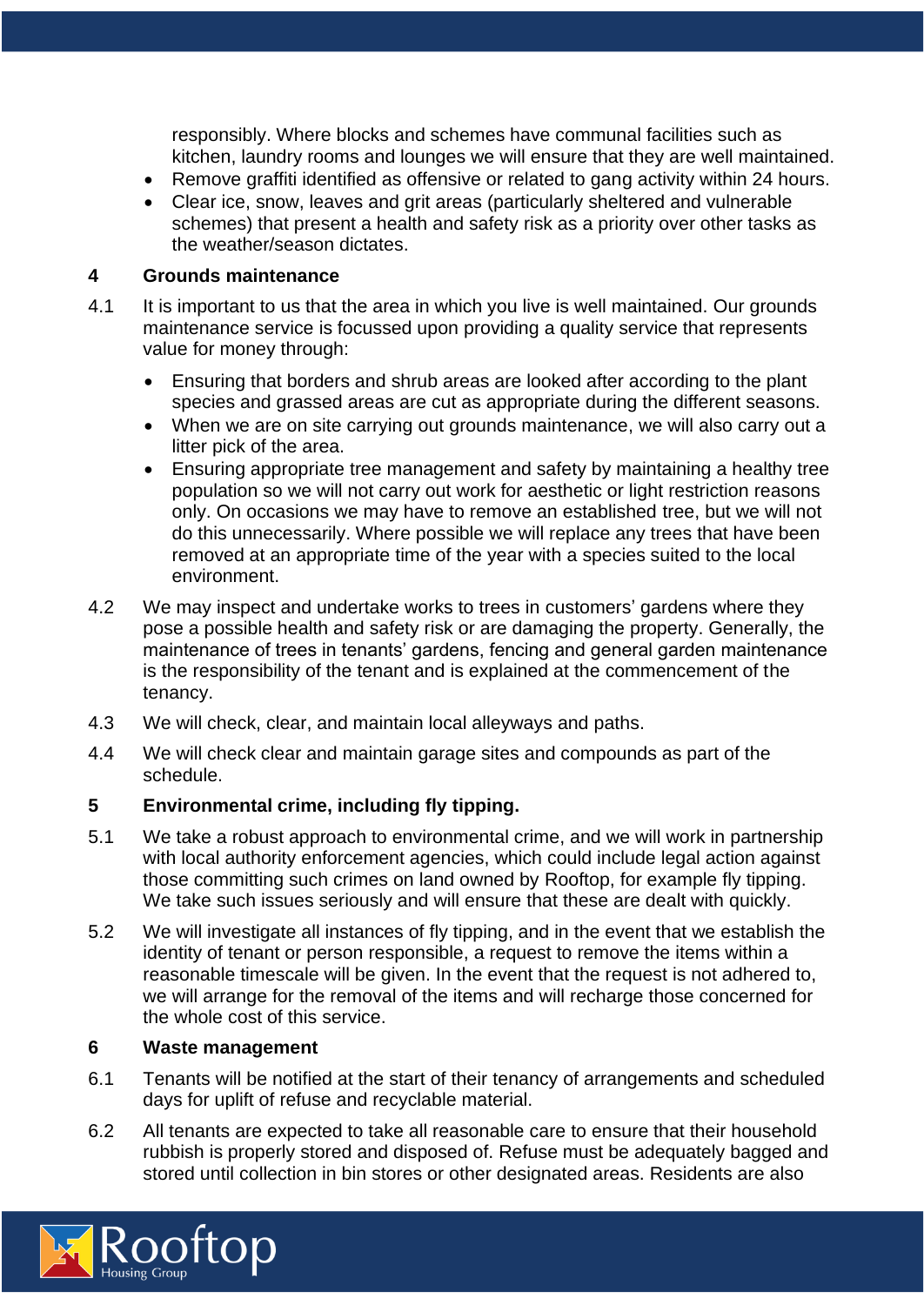responsibly. Where blocks and schemes have communal facilities such as kitchen, laundry rooms and lounges we will ensure that they are well maintained.

- Remove graffiti identified as offensive or related to gang activity within 24 hours.
- Clear ice, snow, leaves and grit areas (particularly sheltered and vulnerable schemes) that present a health and safety risk as a priority over other tasks as the weather/season dictates.

#### **4 Grounds maintenance**

- 4.1 It is important to us that the area in which you live is well maintained. Our grounds maintenance service is focussed upon providing a quality service that represents value for money through:
	- Ensuring that borders and shrub areas are looked after according to the plant species and grassed areas are cut as appropriate during the different seasons.
	- When we are on site carrying out grounds maintenance, we will also carry out a litter pick of the area.
	- Ensuring appropriate tree management and safety by maintaining a healthy tree population so we will not carry out work for aesthetic or light restriction reasons only. On occasions we may have to remove an established tree, but we will not do this unnecessarily. Where possible we will replace any trees that have been removed at an appropriate time of the year with a species suited to the local environment.
- 4.2 We may inspect and undertake works to trees in customers' gardens where they pose a possible health and safety risk or are damaging the property. Generally, the maintenance of trees in tenants' gardens, fencing and general garden maintenance is the responsibility of the tenant and is explained at the commencement of the tenancy.
- 4.3 We will check, clear, and maintain local alleyways and paths.
- 4.4 We will check clear and maintain garage sites and compounds as part of the schedule.

## **5 Environmental crime, including fly tipping.**

- 5.1 We take a robust approach to environmental crime, and we will work in partnership with local authority enforcement agencies, which could include legal action against those committing such crimes on land owned by Rooftop, for example fly tipping. We take such issues seriously and will ensure that these are dealt with quickly.
- 5.2 We will investigate all instances of fly tipping, and in the event that we establish the identity of tenant or person responsible, a request to remove the items within a reasonable timescale will be given. In the event that the request is not adhered to, we will arrange for the removal of the items and will recharge those concerned for the whole cost of this service.

#### **6 Waste management**

- 6.1 Tenants will be notified at the start of their tenancy of arrangements and scheduled days for uplift of refuse and recyclable material.
- 6.2 All tenants are expected to take all reasonable care to ensure that their household rubbish is properly stored and disposed of. Refuse must be adequately bagged and stored until collection in bin stores or other designated areas. Residents are also

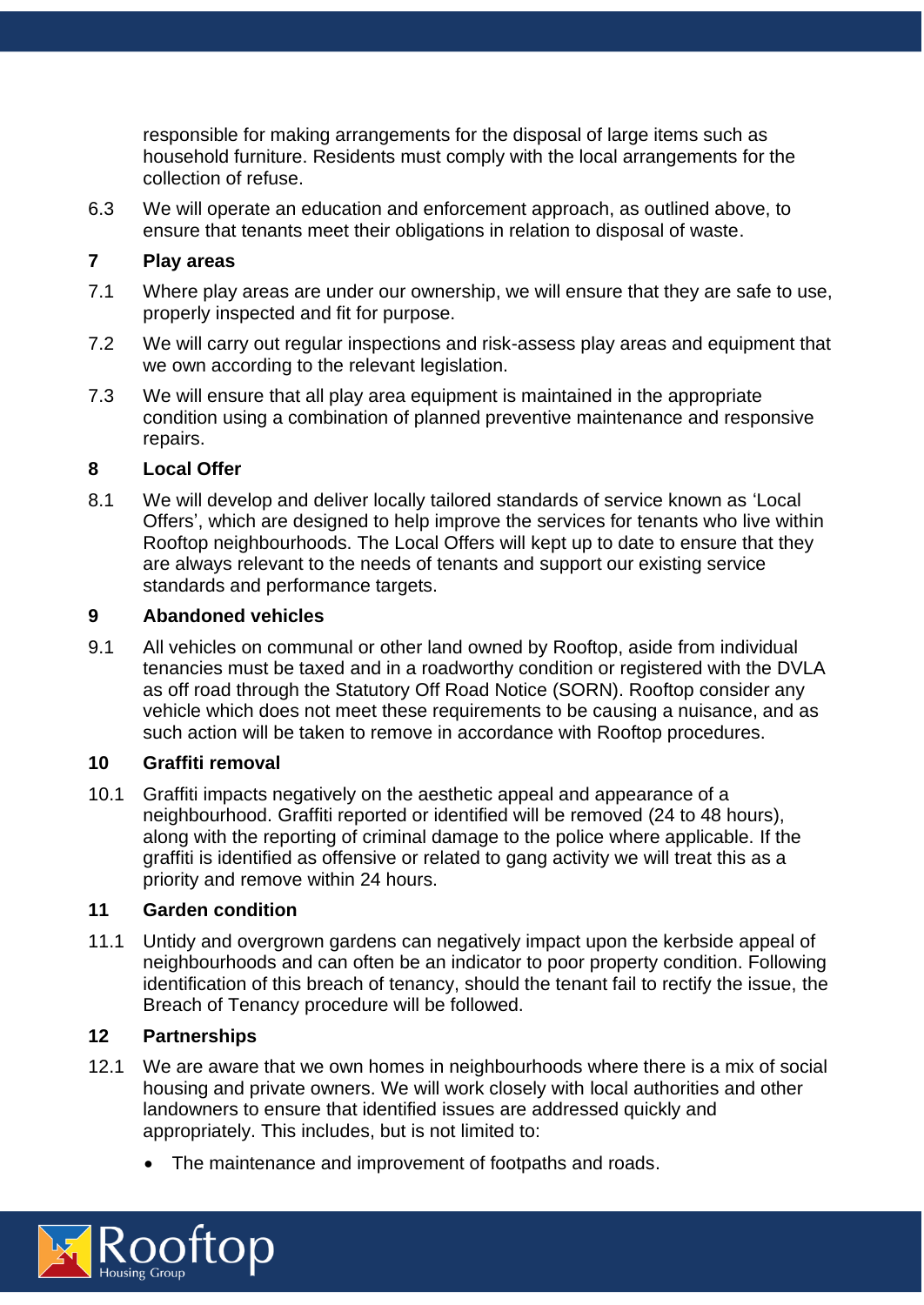responsible for making arrangements for the disposal of large items such as household furniture. Residents must comply with the local arrangements for the collection of refuse.

6.3 We will operate an education and enforcement approach, as outlined above, to ensure that tenants meet their obligations in relation to disposal of waste.

## **7 Play areas**

- 7.1 Where play areas are under our ownership, we will ensure that they are safe to use, properly inspected and fit for purpose.
- 7.2 We will carry out regular inspections and risk-assess play areas and equipment that we own according to the relevant legislation.
- 7.3 We will ensure that all play area equipment is maintained in the appropriate condition using a combination of planned preventive maintenance and responsive repairs.

## **8 Local Offer**

8.1 We will develop and deliver locally tailored standards of service known as 'Local Offers', which are designed to help improve the services for tenants who live within Rooftop neighbourhoods. The Local Offers will kept up to date to ensure that they are always relevant to the needs of tenants and support our existing service standards and performance targets.

## **9 Abandoned vehicles**

9.1 All vehicles on communal or other land owned by Rooftop, aside from individual tenancies must be taxed and in a roadworthy condition or registered with the DVLA as off road through the Statutory Off Road Notice (SORN). Rooftop consider any vehicle which does not meet these requirements to be causing a nuisance, and as such action will be taken to remove in accordance with Rooftop procedures.

## **10 Graffiti removal**

10.1 Graffiti impacts negatively on the aesthetic appeal and appearance of a neighbourhood. Graffiti reported or identified will be removed (24 to 48 hours), along with the reporting of criminal damage to the police where applicable. If the graffiti is identified as offensive or related to gang activity we will treat this as a priority and remove within 24 hours.

## **11 Garden condition**

11.1 Untidy and overgrown gardens can negatively impact upon the kerbside appeal of neighbourhoods and can often be an indicator to poor property condition. Following identification of this breach of tenancy, should the tenant fail to rectify the issue, the Breach of Tenancy procedure will be followed.

## **12 Partnerships**

- 12.1 We are aware that we own homes in neighbourhoods where there is a mix of social housing and private owners. We will work closely with local authorities and other landowners to ensure that identified issues are addressed quickly and appropriately. This includes, but is not limited to:
	- The maintenance and improvement of footpaths and roads.

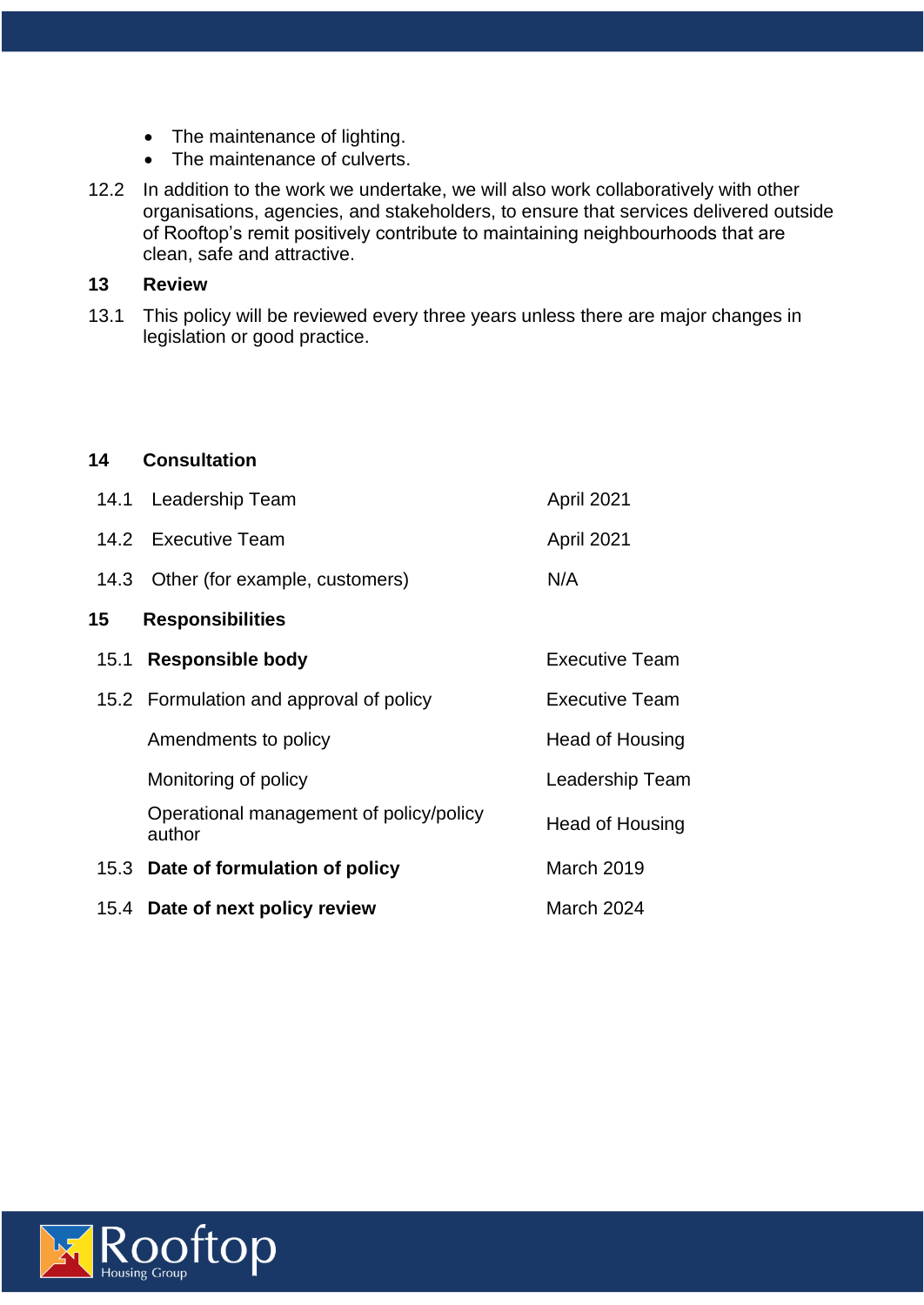- The maintenance of lighting.
- The maintenance of culverts.
- 12.2 In addition to the work we undertake, we will also work collaboratively with other organisations, agencies, and stakeholders, to ensure that services delivered outside of Rooftop's remit positively contribute to maintaining neighbourhoods that are clean, safe and attractive.

#### **13 Review**

13.1 This policy will be reviewed every three years unless there are major changes in legislation or good practice.

#### **14 Consultation**

|      | 14.1 Leadership Team                              | April 2021            |
|------|---------------------------------------------------|-----------------------|
|      | 14.2 Executive Team                               | April 2021            |
|      | 14.3 Other (for example, customers)               | N/A                   |
| 15   | <b>Responsibilities</b>                           |                       |
| 15.1 | <b>Responsible body</b>                           | Executive Team        |
|      | 15.2 Formulation and approval of policy           | <b>Executive Team</b> |
|      | Amendments to policy                              | Head of Housing       |
|      | Monitoring of policy                              | Leadership Team       |
|      | Operational management of policy/policy<br>author | Head of Housing       |
|      | 15.3 Date of formulation of policy                | March 2019            |
|      | 15.4 Date of next policy review                   | March 2024            |